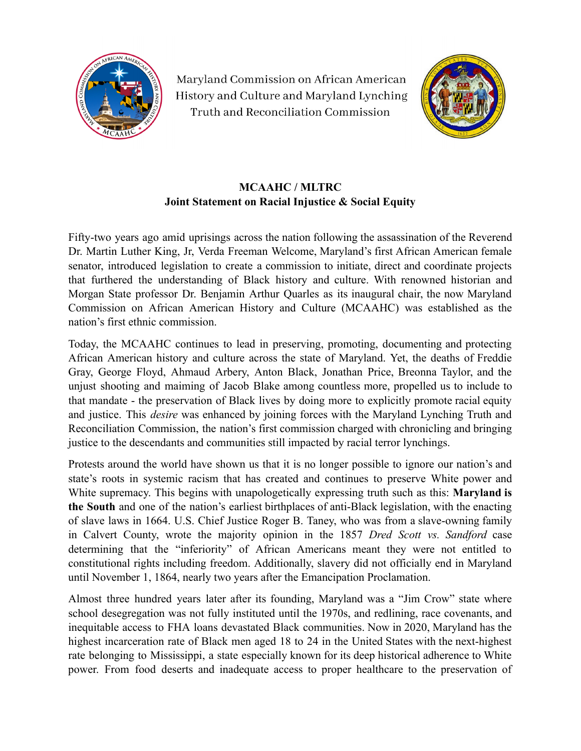

Maryland Commission on African American History and Culture and Maryland Lynching Truth and Reconciliation Commission



## **MCAAHC / MLTRC Joint Statement on Racial Injustice & Social Equity**

Fifty-two years ago amid uprisings across the nation following the assassination of the Reverend Dr. Martin Luther King, Jr, Verda Freeman Welcome, Maryland's first African American female senator, introduced legislation to create a commission to initiate, direct and coordinate projects that furthered the understanding of Black history and culture. With renowned historian and Morgan State professor Dr. Benjamin Arthur Quarles as its inaugural chair, the now Maryland Commission on African American History and Culture (MCAAHC) was established as the nation's first ethnic commission.

Today, the MCAAHC continues to lead in preserving, promoting, documenting and protecting African American history and culture across the state of Maryland. Yet, the deaths of Freddie Gray, George Floyd, Ahmaud Arbery, Anton Black, Jonathan Price, Breonna Taylor, and the unjust shooting and maiming of Jacob Blake among countless more, propelled us to include to that mandate - the preservation of Black lives by doing more to explicitly promote racial equity and justice. This *desire* was enhanced by joining forces with the Maryland Lynching Truth and Reconciliation Commission, the nation's first commission charged with chronicling and bringing justice to the descendants and communities still impacted by racial terror lynchings.

Protests around the world have shown us that it is no longer possible to ignore our nation's and state's roots in systemic racism that has created and continues to preserve White power and White supremacy. This begins with unapologetically expressing truth such as this: **Maryland is the South** and one of the nation's earliest birthplaces of anti-Black legislation, with the enacting of slave laws in 1664. U.S. Chief Justice Roger B. Taney, who was from a slave-owning family in Calvert County, wrote the majority opinion in the 1857 *Dred Scott vs. Sandford* case determining that the "inferiority" of African Americans meant they were not entitled to constitutional rights including freedom. Additionally, slavery did not officially end in Maryland until November 1, 1864, nearly two years after the Emancipation Proclamation.

Almost three hundred years later after its founding, Maryland was a "Jim Crow" state where school desegregation was not fully instituted until the 1970s, and redlining, race covenants, and inequitable access to FHA loans devastated Black communities. Now in 2020, Maryland has the highest incarceration rate of Black men aged 18 to 24 in the United States with the next-highest rate belonging to Mississippi, a state especially known for its deep historical adherence to White power. From food deserts and inadequate access to proper healthcare to the preservation of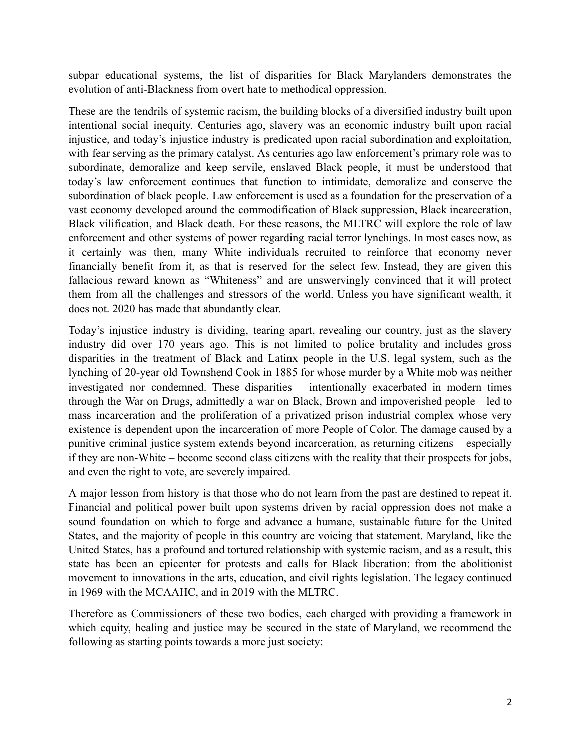subpar educational systems, the list of disparities for Black Marylanders demonstrates the evolution of anti-Blackness from overt hate to methodical oppression.

These are the tendrils of systemic racism, the building blocks of a diversified industry built upon intentional social inequity. Centuries ago, slavery was an economic industry built upon racial injustice, and today's injustice industry is predicated upon racial subordination and exploitation, with fear serving as the primary catalyst. As centuries ago law enforcement's primary role was to subordinate, demoralize and keep servile, enslaved Black people, it must be understood that today's law enforcement continues that function to intimidate, demoralize and conserve the subordination of black people. Law enforcement is used as a foundation for the preservation of a vast economy developed around the commodification of Black suppression, Black incarceration, Black vilification, and Black death. For these reasons, the MLTRC will explore the role of law enforcement and other systems of power regarding racial terror lynchings. In most cases now, as it certainly was then, many White individuals recruited to reinforce that economy never financially benefit from it, as that is reserved for the select few. Instead, they are given this fallacious reward known as "Whiteness" and are unswervingly convinced that it will protect them from all the challenges and stressors of the world. Unless you have significant wealth, it does not. 2020 has made that abundantly clear.

Today's injustice industry is dividing, tearing apart, revealing our country, just as the slavery industry did over 170 years ago. This is not limited to police brutality and includes gross disparities in the treatment of Black and Latinx people in the U.S. legal system, such as the lynching of 20-year old Townshend Cook in 1885 for whose murder by a White mob was neither investigated nor condemned. These disparities – intentionally exacerbated in modern times through the War on Drugs, admittedly a war on Black, Brown and impoverished people – led to mass incarceration and the proliferation of a privatized prison industrial complex whose very existence is dependent upon the incarceration of more People of Color. The damage caused by a punitive criminal justice system extends beyond incarceration, as returning citizens – especially if they are non-White – become second class citizens with the reality that their prospects for jobs, and even the right to vote, are severely impaired.

A major lesson from history is that those who do not learn from the past are destined to repeat it. Financial and political power built upon systems driven by racial oppression does not make a sound foundation on which to forge and advance a humane, sustainable future for the United States, and the majority of people in this country are voicing that statement. Maryland, like the United States, has a profound and tortured relationship with systemic racism, and as a result, this state has been an epicenter for protests and calls for Black liberation: from the abolitionist movement to innovations in the arts, education, and civil rights legislation. The legacy continued in 1969 with the MCAAHC, and in 2019 with the MLTRC.

Therefore as Commissioners of these two bodies, each charged with providing a framework in which equity, healing and justice may be secured in the state of Maryland, we recommend the following as starting points towards a more just society: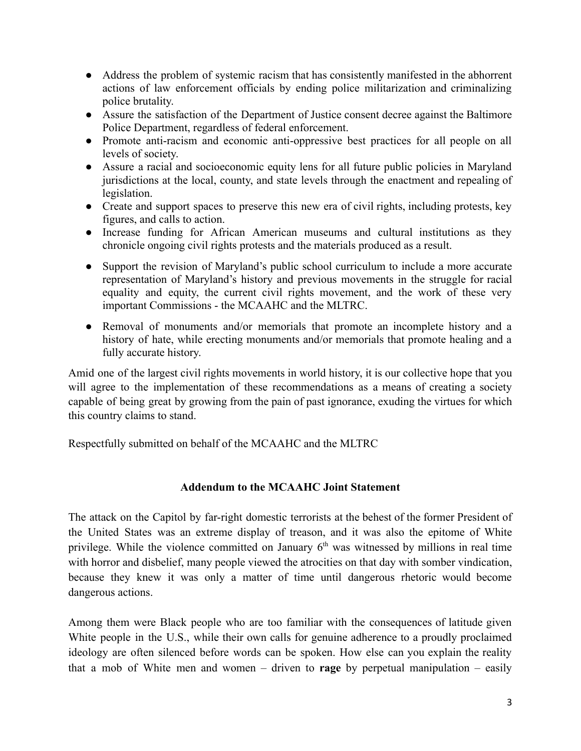- Address the problem of systemic racism that has consistently manifested in the abhorrent actions of law enforcement officials by ending police militarization and criminalizing police brutality.
- Assure the satisfaction of the Department of Justice consent decree against the Baltimore Police Department, regardless of federal enforcement.
- Promote anti-racism and economic anti-oppressive best practices for all people on all levels of society.
- Assure a racial and socioeconomic equity lens for all future public policies in Maryland jurisdictions at the local, county, and state levels through the enactment and repealing of legislation.
- Create and support spaces to preserve this new era of civil rights, including protests, key figures, and calls to action.
- Increase funding for African American museums and cultural institutions as they chronicle ongoing civil rights protests and the materials produced as a result.
- Support the revision of Maryland's public school curriculum to include a more accurate representation of Maryland's history and previous movements in the struggle for racial equality and equity, the current civil rights movement, and the work of these very important Commissions - the MCAAHC and the MLTRC.
- Removal of monuments and/or memorials that promote an incomplete history and a history of hate, while erecting monuments and/or memorials that promote healing and a fully accurate history.

Amid one of the largest civil rights movements in world history, it is our collective hope that you will agree to the implementation of these recommendations as a means of creating a society capable of being great by growing from the pain of past ignorance, exuding the virtues for which this country claims to stand.

Respectfully submitted on behalf of the MCAAHC and the MLTRC

## **Addendum to the MCAAHC Joint Statement**

The attack on the Capitol by far-right domestic terrorists at the behest of the former President of the United States was an extreme display of treason, and it was also the epitome of White privilege. While the violence committed on January  $6<sup>th</sup>$  was witnessed by millions in real time with horror and disbelief, many people viewed the atrocities on that day with somber vindication, because they knew it was only a matter of time until dangerous rhetoric would become dangerous actions.

Among them were Black people who are too familiar with the consequences of latitude given White people in the U.S., while their own calls for genuine adherence to a proudly proclaimed ideology are often silenced before words can be spoken. How else can you explain the reality that a mob of White men and women – driven to **rage** by perpetual manipulation – easily